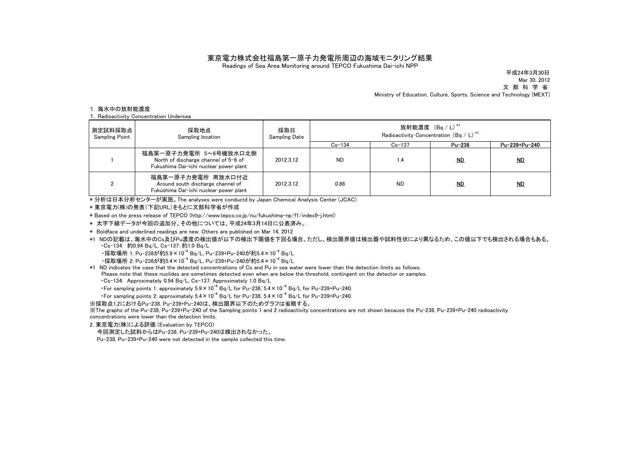## 東京電力株式会社福島第一原子力発電所周辺の海域モニタリング結果

Readings of Sea Area Monitoring around TEPCO Fukushima Dai-ichi NPP

Mar 30, 2012 平成24年3月30日

文 部 科 学 省

Ministry of Education, Culture, Sports, Science and Technology (MEXT)

## 1.海水中の放射能濃度

1.Radioactivity Concentration Undersea

| 測定試料採取点<br><b>Sampling Point</b> | 採取地点<br>Sampling location                                                                               | 採取日<br><b>Sampling Date</b> | 放射能濃度 (Bq / L) *1<br>Radioactivity Concentration (Bq / L) <sup>*1</sup> |            |           |               |
|----------------------------------|---------------------------------------------------------------------------------------------------------|-----------------------------|-------------------------------------------------------------------------|------------|-----------|---------------|
|                                  |                                                                                                         |                             | $Cs - 134$                                                              | $Cs - 137$ | Pu-238    | Pu-239+Pu-240 |
|                                  | 福島第一原子力発電所 5~6号機放水口北側<br>North of discharge channel of 5-6 of<br>Fukushima Dai-ichi nuclear power plant | 2012.3.12                   | <b>ND</b>                                                               | 1.4        | <u>ND</u> | $_{ND}$       |
|                                  | 福島第一原子力発電所 南放水口付近<br>Around south discharge channel of<br>Fukushima Dai-ichi nuclear power plant        | 2012.3.12                   | 0.86                                                                    | <b>ND</b>  | <u>ND</u> | MD            |

\* 分析は日本分析センターが実施。The analyses were conductd by Japan Chemical Analysis Center (JCAC)

\* 東京電力(株)の発表(下記URL)をもとに文部科学省が作成

\* Based on the press release of TEPCO (http://www.tepco.co.jp/nu/fukushima-np/f1/index9-j.html)

\* 太字下線データが今回の追加分。その他については、平成24年3月14日に公表済み。.

\* Boldface and underlined readings are new. Others are published on Mar 14, 2012

\*1 NDの記載は、海水中のCs及びPu濃度の検出値が以下の検出下限値を下回る場合。ただし、検出限界値は検出器や試料性状により異なるため、この値以下でも検出される場合もある。 ・Cs-134: 約0.94 Bq/L, Cs-137: 約1.0 Bq/L

・採取場所 1: Pu-238が約5.9×10<sup>-4</sup> Bg/L, Pu-239+Pu-240が約5.4×10<sup>-4</sup> Bg/L

•採取場所 2: Pu-238が約5.4×10<sup>-4</sup> Bg/L, Pu-239+Pu-240が約5.4×10<sup>-4</sup> Bg/L

\*1 ND indicates the case that the detected concentrations of Cs and Pu in sea water were lower than the detection limits as follows. Please note that these nuclides are sometimes detected even when are below the threshold, contingent on the detector or samples. ・Cs-134: Approximately 0.94 Bq/L, Cs-137: Approximately 1.0 Bq/L

• For sampling points 1: approximately  $5.9 \times 10^{-4}$  Bg/L for Pu-238,  $5.4 \times 10^{-4}$  Bg/L for Pu-239+Pu-240.

• For sampling points 2: approximately  $5.4 \times 10^{-4}$  Bq/L for Pu-238,  $5.4 \times 10^{-4}$  Bq/L for Pu-239+Pu-240.

※採取点1,2におけるPu-238, Pu-239+Pu-240は、検出限界以下のためグラフは省略する。

※The graphs of the Pu-238, Pu-239+Pu-240 of the Sampling points 1 and 2 radioactivity concentrations are not shown because the Pu-238, Pu-239+Pu-240 radioactivity concentrations were lower than the detection limits.

2. 東京電力(株)による評価 (Evaluation by TEPCO)

今回測定した試料からはPu-238, Pu-239+Pu-240は検出されなかった。

Pu-238, Pu-239+Pu-240 were not detected in the sample collected this time.